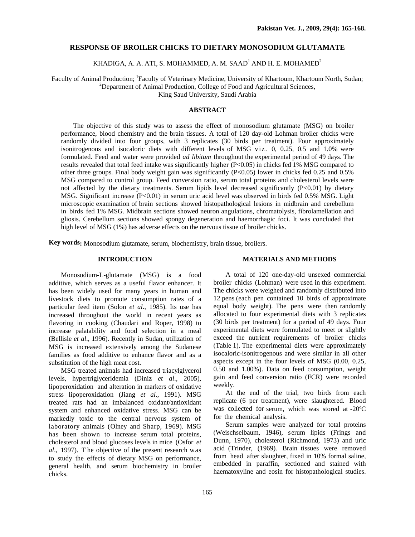## **RESPONSE OF BROILER CHICKS TO DIETARY MONOSODIUM GLUTAMATE**

KHADIGA, A. A. ATI, S. MOHAMMED, A. M. SAAD $^{\rm l}$  AND H. E. MOHAMED $^{\rm 2}$ 

Faculty of Animal Production; <sup>1</sup>Faculty of Veterinary Medicine, University of Khartoum, Khartoum North, Sudan;  $^{2}$ Department of Animal Production, College of Food and Agricultural Sciences,

King Saud University, Saudi Arabia

# **ABSTRACT**

The objective of this study was to assess the effect of monosodium glutamate (MSG) on broiler performance, blood chemistry and the brain tissues. A total of 120 day-old Lohman broiler chicks were randomly divided into four groups, with 3 replicates (30 birds per treatment). Four approximately isonitrogenous and isocaloric diets with different levels of MSG viz. 0, 0.25, 0.5 and 1.0% were formulated. Feed and water were provided *ad libitum* throughout the experimental period of 49 days. The results revealed that total feed intake was significantly higher (P<0.05) in chicks fed 1% MSG compared to other three groups. Final body weight gain was significantly (P<0.05) lower in chicks fed 0.25 and 0.5% MSG compared to control group. Feed conversion ratio, serum total proteins and cholesterol levels were not affected by the dietary treatments. Serum lipids level decreased significantly  $(P<0.01)$  by dietary MSG. Significant increase  $(P<0.01)$  in serum uric acid level was observed in birds fed 0.5% MSG. Light microscopic examination of brain sections showed histopathological lesions in midbrain and cerebellum in birds fed 1% MSG. Midbrain sections showed neuron angulations, chromatolysis, fibrolamellation and gliosis. Cerebellum sections showed spongy degeneration and haemorrhagic foci. It was concluded that high level of MSG (1%) has adverse effects on the nervous tissue of broiler chicks.

**Key words:** Monosodium glutamate, serum, biochemistry, brain tissue, broilers.

### **INTRODUCTION**

#### **MATERIALS AND METHODS**

Monosodium-L-glutamate (MSG) is a food additive, which serves as a useful flavor enhancer. It has been widely used for many years in human and livestock diets to promote consumption rates of a particular feed item (Solon *et al*., 1985). Its use has increased throughout the world in recent years as flavoring in cooking (Chaudari and Roper, 1998) to increase palatability and food selection in a meal (Bellisle *et al*., 1996). Recently in Sudan, utilization of MSG is increased extensively among the Sudanese families as food additive to enhance flavor and as a substitution of the high meat cost.

MSG treated animals had increased triacylglycerol levels, hypertriglyceridemia (Diniz *et al*., 2005), lipoperoxidation and alteration in markers of oxidative stress lipoperoxidation (Jiang *et al*., 1991). MSG treated rats had an imbalanced oxidant/antioxidant system and enhanced oxidative stress. MSG can be markedly toxic to the central nervous system of laboratory animals (Olney and Sharp, 1969). MSG has been shown to increase serum total proteins, cholesterol and blood glucoses levels in mice (Osfor *et al*., 1997). T he objective of the present research was to study the effects of dietary MSG on performance, general health, and serum biochemistry in broiler chicks.

A total of 120 one-day-old unsexed commercial broiler chicks (Lohman) were used in this experiment. The chicks were weighed and randomly distributed into 12 pens (each pen contained 10 birds of approximate equal body weight). The pens were then randomly allocated to four experimental diets with 3 replicates (30 birds per treatment) for a period of 49 days. Four experimental diets were formulated to meet or slightly exceed the nutrient requirements of broiler chicks (Table 1). The experimental diets were approximately isocaloric-isonitrogenous and were similar in all other aspects except in the four levels of MSG (0.00, 0.25, 0.50 and 1.00%). Data on feed consumption, weight gain and feed conversion ratio (FCR) were recorded weekly.

At the end of the trial, two birds from each replicate (6 per treatment), were slaughtered. Blood was collected for serum, which was stored at -20ºC for the chemical analysis.

Serum samples were analyzed for total proteins (Weischselbaum, 1946), serum lipids (Frings and Dunn, 1970), cholesterol (Richmond, 1973) and uric acid (Trinder, (1969). Brain tissues were removed from head after slaughter, fixed in 10% formal saline, embedded in paraffin, sectioned and stained with haematoxyline and eosin for histopathological studies.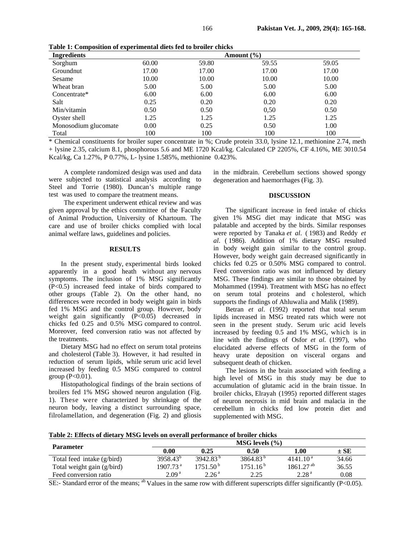| <b>Ingredients</b>   | Amount $(\% )$ |       |       |       |  |  |
|----------------------|----------------|-------|-------|-------|--|--|
| Sorghum              | 60.00          | 59.80 | 59.55 | 59.05 |  |  |
| Groundnut            | 17.00          | 17.00 | 17.00 | 17.00 |  |  |
| Sesame               | 10.00          | 10.00 | 10.00 | 10.00 |  |  |
| Wheat bran           | 5.00           | 5.00  | 5.00  | 5.00  |  |  |
| Concentrate*         | 6.00           | 6.00  | 6.00  | 6.00  |  |  |
| Salt                 | 0.25           | 0.20  | 0.20  | 0.20  |  |  |
| Min/vitamin          | 0.50           | 0.50  | 0.50  | 0.50  |  |  |
| Oyster shell         | 1.25           | 1.25  | 1.25  | 1.25  |  |  |
| Monosodium glucomate | 0.00           | 0.25  | 0.50  | 1.00  |  |  |
| Total                | 100            | 100   | 100   | 100   |  |  |

**Table 1: Composition of experimental diets fed to broiler chicks** 

\* Chemical constituents for broiler super concentrate in %; Crude protein 33.0, lysine 12.1, methionine 2.74, meth + lysine 2.35, calcium 8.1, phosphorous 5.6 and ME 1720 Kcal/kg. Calculated CP 2205%, CF 4.16%, ME 3010.54 Kcal/kg, Ca 1.27%, P 0.77%, L- lysine 1.585%, methionine 0.423%.

A complete randomized design was used and data were subjected to statistical analysis according to Steel and Torrie (1980). Duncan's multiple range test was used to compare the treatment means.

The experiment underwent ethical review and was given approval by the ethics committee of the Faculty of Animal Production, University of Khartoum. The care and use of broiler chicks complied with local animal welfare laws, guidelines and policies.

### **RESULTS**

In the present study, experimental birds looked apparently in a good heath without any nervous symptoms. The inclusion of 1% MSG significantly (P<0.5) increased feed intake of birds compared to other groups (Table 2). On the other hand, no differences were recorded in body weight gain in birds fed 1% MSG and the control group. However, body weight gain significantly (P<0.05) decreased in chicks fed 0.25 and 0.5% MSG compared to control. Moreover, feed conversion ratio was not affected by the treatments.

Dietary MSG had no effect on serum total proteins and cholesterol (Table 3). However, it had resulted in reduction of serum lipids, while serum uric acid level increased by feeding 0.5 MSG compared to control group (P<0.01).

Histopathological findings of the brain sections of broilers fed 1% MSG showed neuron angulation (Fig. 1). These were characterized by shrinkage of the neuron body, leaving a distinct surrounding space, filrolamellation, and degeneration (Fig. 2) and gliosis

in the midbrain. Cerebellum sections showed spongy degeneration and haemorrhages (Fig. 3).

# **DISCUSSION**

The significant increase in feed intake of chicks given 1% MSG diet may indicate that MSG was palatable and accepted by the birds. Similar responses were reported by Tanaka *et al*. ( 1983) and Reddy *et al*. ( 1986). Addition of 1% dietary MSG resulted in body weight gain similar to the control group. However, body weight gain decreased significantly in chicks fed 0.25 or 0.50% MSG compared to control. Feed conversion ratio was not influenced by dietary MSG. These findings are similar to those obtained by Mohammed (1994). Treatment with MSG has no effect on serum total proteins and c holesterol, which supports the findings of Ahluwalia and Malik (1989).

Betran *et al*. (1992) reported that total serum lipids increased in MSG treated rats which were not seen in the present study. Serum uric acid levels increased by feeding 0.5 and 1% MSG, which is in line with the findings of Osfor *et al*. (1997), who elucidated adverse effects of MSG in the form of heavy urate deposition on visceral organs and subsequent death of chicken.

The lesions in the brain associated with feeding a high level of MSG in this study may be due to accumulation of glutamic acid in the brain tissue. In broiler chicks, Elrayah (1995) reported different stages of neuron necrosis in mid brain and malacia in the cerebellum in chicks fed low protein diet and supplemented with MSG.

**Table 2: Effects of dietary MSG levels on overall performance of broiler chicks**

| <b>Parameter</b>           | $MSG$ levels $(\% )$   |                      |                      |                      |          |  |
|----------------------------|------------------------|----------------------|----------------------|----------------------|----------|--|
|                            | 0.00                   | 0.25                 | 0.50                 | l.00                 | $\pm$ SE |  |
| Total feed intake (g/bird) | 3958.43 <sup>b</sup>   | 3942.83 <sup>b</sup> | 3864.83 <sup>b</sup> | 4141.10 <sup>a</sup> | 34.66    |  |
| Total weight gain (g/bird) | $1907.73$ <sup>a</sup> | 1751.50 <sup>b</sup> | 1751.16 <sup>b</sup> | $1861.27^{ab}$       | 36.55    |  |
| Feed conversion ratio      | 2.09 <sup>a</sup>      | 2.26 <sup>a</sup>    | 2.25                 | 2.28 <sup>a</sup>    | 0.08     |  |

SE:- Standard error of the means;  $^{ab}$  Values in the same row with different superscripts differ significantly (P<0.05).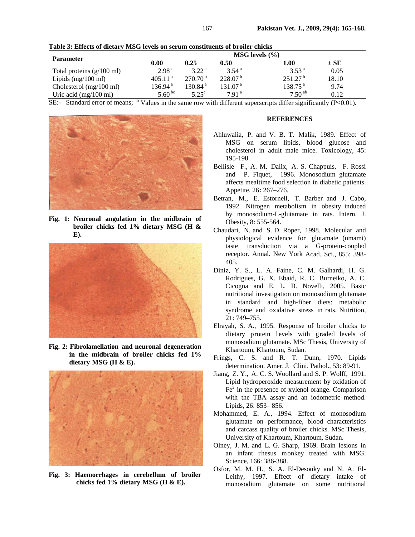| <b>Parameter</b>                    | MSG levels $(\% )$   |                   |                     |                      |          |  |
|-------------------------------------|----------------------|-------------------|---------------------|----------------------|----------|--|
|                                     | 0.00                 | 0.25              | 0.50                | 1.00                 | $\pm$ SE |  |
| Total proteins $(g/100 \text{ ml})$ | $2.98^{\rm a}$       | 3.22 <sup>a</sup> | 3.54 <sup>a</sup>   | 3.53 <sup>a</sup>    | 0.05     |  |
| Lipids $(mg/100 \text{ ml})$        | 405.11 <sup>a</sup>  | $270.70^{b}$      | 228.07 <sup>b</sup> | 251.27 <sup>b</sup>  | 18.10    |  |
| Cholesterol $(mg/100 \text{ ml})$   | $136.94^{\text{ a}}$ | 130.84ª           | 131.07 <sup>a</sup> | $138.75^{\text{ a}}$ | 9.74     |  |
| Uric acid $(mg/100 \text{ ml})$     | $5.60^{bc}$          | $5.25^\circ$      | 7.91 <sup>a</sup>   | $7.50^{ab}$          | 0.12     |  |

**Table 3: Effects of dietary MSG levels on serum constituents of broiler chicks**

SE:- Standard error of means; ab Values in the same row with different superscripts differ significantly (P<0.01).



**Fig. 1: Neuronal angulation in the midbrain of broiler chicks fed 1% dietary MSG (H & E).** 



**Fig. 2: Fibrolamellation and neuronal degeneration in the midbrain of broiler chicks fed 1% dietary MSG (H & E).** 



**Fig. 3: Haemorrhages in cerebellum of broiler chicks fed 1% dietary MSG (H & E).** 

### **REFERENCES**

- Ahluwalia, P. and V. B. T. Malik, 1989. Effect of MSG on serum lipids, blood glucose and cholesterol in adult male mice. Toxicology, 45: 195-198.
- Bellisle F., A. M. Dalix, A. S. Chappuis, F. Rossi and P. Fiquet, 1996. Monosodium glutamate affects mealtime food selection in diabetic patients. Appetite, 26**:** 267–276.
- Betran, M., E. Estornell, T. Barber and J. Cabo, 1992. Nitrogen metabolism in obesity induced by monosodium-L-glutamate in rats. Intern. J. Obesity, 8: 555-564.
- Chaudari, N. and S. D. Roper, 1998. Molecular and physiological evidence for glutamate (umami) taste transduction via a G-protein-coupled receptor. Annal. New York Acad. Sci., 855: 398- 405.
- Diniz, Y. S., L. A. Faine, C. M. Galhardi, H. G. Rodrigues, G. X. Ebaid, R. C. Burneiko, A. C. Cicogna and E. L. B. Novelli, 2005. Basic nutritional investigation on monosodium glutamate in standard and high-fiber diets: metabolic syndrome and oxidative stress in rats. Nutrition, 21: 749–755.
- Elrayah, S. A., 1995. Response of broiler chicks to dietary protein levels with graded levels of monosodium glutamate. MSc Thesis, University of Khartoum, Khartoum, Sudan.
- Frings, C. S. and R. T. Dunn, 1970. Lipids determination. Amer. J. Clini. Pathol., 53: 89-91.
- Jiang, Z. Y., A. C. S. Woollard and S. P. Wolff, 1991. Lipid hydroperoxide measurement by oxidation of  $Fe<sup>2</sup>$  in the presence of xylenol orange. Comparison with the TBA assay and an iodometric method. Lipids, 26: 853– 856.
- Mohammed, E. A., 1994. Effect of monosodium glutamate on performance, blood characteristics and carcass quality of broiler chicks. MSc Thesis, University of Khartoum, Khartoum, Sudan.
- Olney, J. M. and L. G. Sharp, 1969. Brain lesions in an infant rhesus monkey treated with MSG. Science, 166: 386-388.
- Osfor, M. M. H., S. A. El-Desouky and N. A. El-Leithy, 1997. Effect of dietary intake of monosodium glutamate on some nutritional